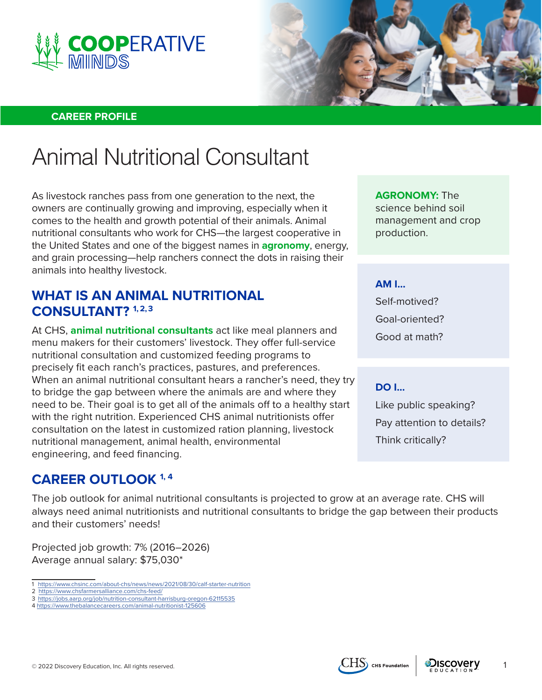



#### **CAREER PROFILE**

# Animal Nutritional Consultant

As livestock ranches pass from one generation to the next, the owners are continually growing and improving, especially when it comes to the health and growth potential of their animals. Animal nutritional consultants who work for CHS—the largest cooperative in the United States and one of the biggest names in **agronomy**, energy, and grain processing—help ranchers connect the dots in raising their animals into healthy livestock.

### **WHAT IS AN ANIMAL NUTRITIONAL CONSULTANT? 1, 2,3**

At CHS, **animal nutritional consultants** act like meal planners and menu makers for their customers' livestock. They offer full-service nutritional consultation and customized feeding programs to precisely fit each ranch's practices, pastures, and preferences. When an animal nutritional consultant hears a rancher's need, they try to bridge the gap between where the animals are and where they need to be. Their goal is to get all of the animals off to a healthy start with the right nutrition. Experienced CHS animal nutritionists offer consultation on the latest in customized ration planning, livestock nutritional management, animal health, environmental engineering, and feed financing.

## **CAREER OUTLOOK 1, 4**

The job outlook for animal nutritional consultants is projected to grow at an average rate. CHS will always need animal nutritionists and nutritional consultants to bridge the gap between their products and their customers' needs!

Projected job growth: 7% (2016–2026) Average annual salary: \$75,030\*

- 1 <https://www.chsinc.com/about-chs/news/news/2021/08/30/calf-starter-nutrition>
- 2 <https://www.chsfarmersalliance.com/chs-feed/> 3 <https://jobs.aarp.org/job/nutrition-consultant-harrisburg-oregon-62115535>
- 4 <https://www.thebalancecareers.com/animal-nutritionist-125606>

**AGRONOMY:** The science behind soil management and crop production.

**AM I...** 

Self-motived? Goal-oriented? Good at math?

#### **DO I...**

Like public speaking? Pay attention to details? Think critically?